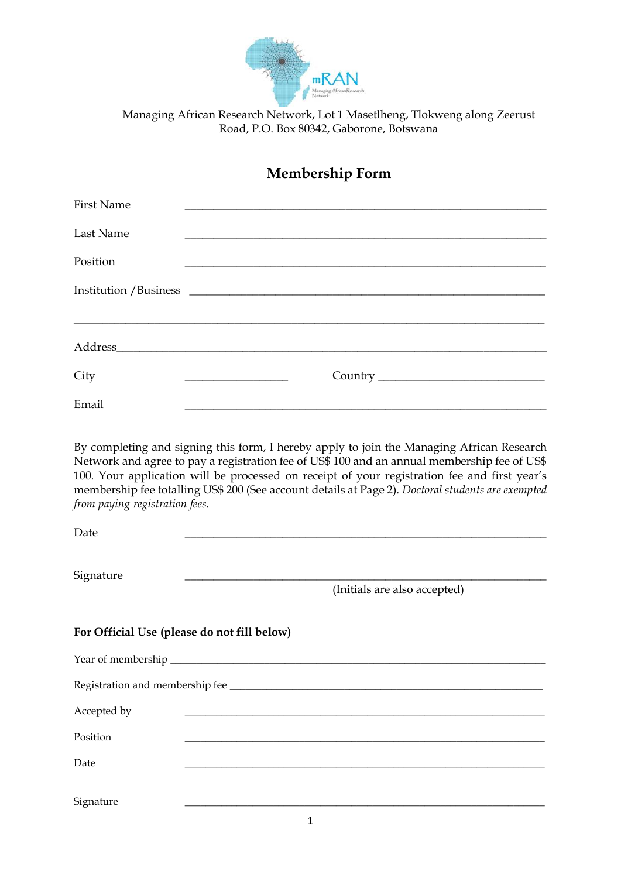

Road, P.O. Box 80342, Gaborone, Botswana

## **Membership Form**

| <b>First Name</b>              |                                                                                                                                                                                                                                                                                                                                                                                                |
|--------------------------------|------------------------------------------------------------------------------------------------------------------------------------------------------------------------------------------------------------------------------------------------------------------------------------------------------------------------------------------------------------------------------------------------|
| Last Name                      |                                                                                                                                                                                                                                                                                                                                                                                                |
| Position                       |                                                                                                                                                                                                                                                                                                                                                                                                |
|                                |                                                                                                                                                                                                                                                                                                                                                                                                |
|                                |                                                                                                                                                                                                                                                                                                                                                                                                |
| City                           |                                                                                                                                                                                                                                                                                                                                                                                                |
| Email                          |                                                                                                                                                                                                                                                                                                                                                                                                |
| from paying registration fees. | By completing and signing this form, I hereby apply to join the Managing African Research<br>Network and agree to pay a registration fee of US\$ 100 and an annual membership fee of US\$<br>100. Your application will be processed on receipt of your registration fee and first year's<br>membership fee totalling US\$ 200 (See account details at Page 2). Doctoral students are exempted |
| Date                           |                                                                                                                                                                                                                                                                                                                                                                                                |

Signature

(Initials are also accepted)

| For Official Use (please do not fill below) |  |  |
|---------------------------------------------|--|--|
|                                             |  |  |
|                                             |  |  |
| Accepted by                                 |  |  |
| Position                                    |  |  |
| Date                                        |  |  |
|                                             |  |  |
| Signature                                   |  |  |